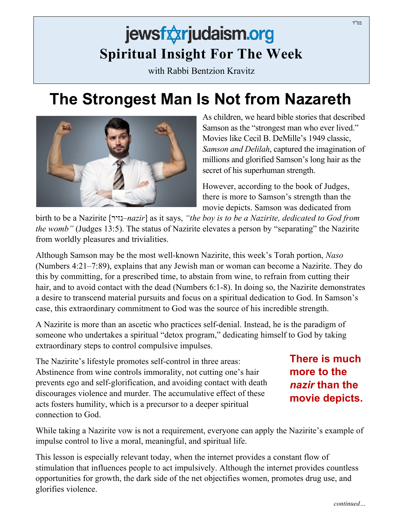## jewsfxxrjudaism.org **Spiritual Insight For The Week**

with Rabbi Bentzion Kravitz

## **The Strongest Man Is Not from Nazareth**



As children, we heard bible stories that described Samson as the "strongest man who ever lived." Movies like Cecil B. DeMille's 1949 classic, *Samson and Delilah*, captured the imagination of millions and glorified Samson's long hair as the secret of his superhuman strength.

However, according to the book of Judges, there is more to Samson's strength than the movie depicts. Samson was dedicated from

birth to be a Nazirite [נזיר*–nazir*] as it says, *"the boy is to be a Nazirite, dedicated to God from the womb"* (Judges 13:5). The status of Nazirite elevates a person by "separating" the Nazirite from worldly pleasures and trivialities.

Although Samson may be the most well-known Nazirite, this week's Torah portion, *Naso* (Numbers 4:21–7:89), explains that any Jewish man or woman can become a Nazirite. They do this by committing, for a prescribed time, to abstain from wine, to refrain from cutting their hair, and to avoid contact with the dead (Numbers 6:1-8). In doing so, the Nazirite demonstrates a desire to transcend material pursuits and focus on a spiritual dedication to God. In Samson's case, this extraordinary commitment to God was the source of his incredible strength.

A Nazirite is more than an ascetic who practices self-denial. Instead, he is the paradigm of someone who undertakes a spiritual "detox program," dedicating himself to God by taking extraordinary steps to control compulsive impulses.

The Nazirite's lifestyle promotes self-control in three areas: Abstinence from wine controls immorality, not cutting one's hair prevents ego and self-glorification, and avoiding contact with death discourages violence and murder. The accumulative effect of these acts fosters humility, which is a precursor to a deeper spiritual connection to God.

**There is much more to the**  *nazir* **than the movie depicts.**

While taking a Nazirite vow is not a requirement, everyone can apply the Nazirite's example of impulse control to live a moral, meaningful, and spiritual life.

This lesson is especially relevant today, when the internet provides a constant flow of stimulation that influences people to act impulsively. Although the internet provides countless opportunities for growth, the dark side of the net objectifies women, promotes drug use, and glorifies violence.